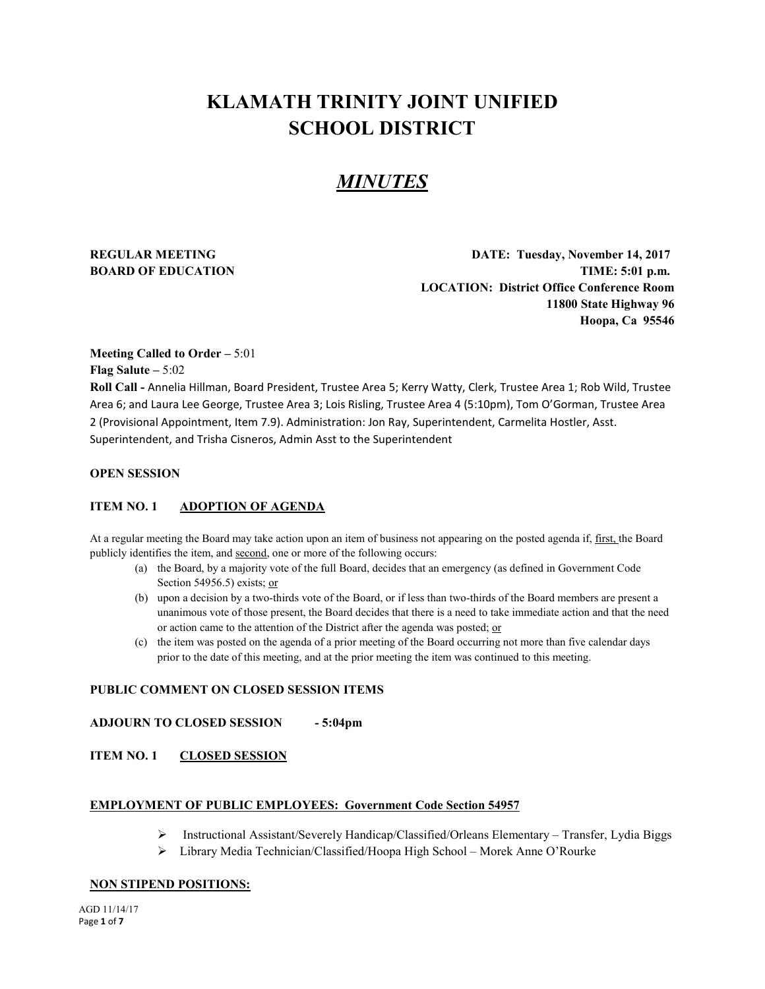# **KLAMATH TRINITY JOINT UNIFIED SCHOOL DISTRICT**

# *MINUTES*

**REGULAR MEETING DATE: Tuesday, November 14, 2017 BOARD OF EDUCATION TIME:** 5:01 **p.m. LOCATION: District Office Conference Room 11800 State Highway 96 Hoopa, Ca 95546**

#### **Meeting Called to Order –** 5:01

**Flag Salute –** 5:02

**Roll Call -** Annelia Hillman, Board President, Trustee Area 5; Kerry Watty, Clerk, Trustee Area 1; Rob Wild, Trustee Area 6; and Laura Lee George, Trustee Area 3; Lois Risling, Trustee Area 4 (5:10pm), Tom O'Gorman, Trustee Area 2 (Provisional Appointment, Item 7.9). Administration: Jon Ray, Superintendent, Carmelita Hostler, Asst. Superintendent, and Trisha Cisneros, Admin Asst to the Superintendent

#### **OPEN SESSION**

#### **ITEM NO. 1 ADOPTION OF AGENDA**

At a regular meeting the Board may take action upon an item of business not appearing on the posted agenda if, first, the Board publicly identifies the item, and second, one or more of the following occurs:

- (a) the Board, by a majority vote of the full Board, decides that an emergency (as defined in Government Code Section 54956.5) exists; or
- (b) upon a decision by a two-thirds vote of the Board, or if less than two-thirds of the Board members are present a unanimous vote of those present, the Board decides that there is a need to take immediate action and that the need or action came to the attention of the District after the agenda was posted; or
- (c) the item was posted on the agenda of a prior meeting of the Board occurring not more than five calendar days prior to the date of this meeting, and at the prior meeting the item was continued to this meeting.

#### **PUBLIC COMMENT ON CLOSED SESSION ITEMS**

**ADJOURN TO CLOSED SESSION - 5:04pm** 

#### **ITEM NO. 1 CLOSED SESSION**

#### **EMPLOYMENT OF PUBLIC EMPLOYEES: Government Code Section 54957**

- Instructional Assistant/Severely Handicap/Classified/Orleans Elementary Transfer, Lydia Biggs
- Library Media Technician/Classified/Hoopa High School Morek Anne O'Rourke

#### **NON STIPEND POSITIONS:**

AGD 11/14/17 Page **1** of **7**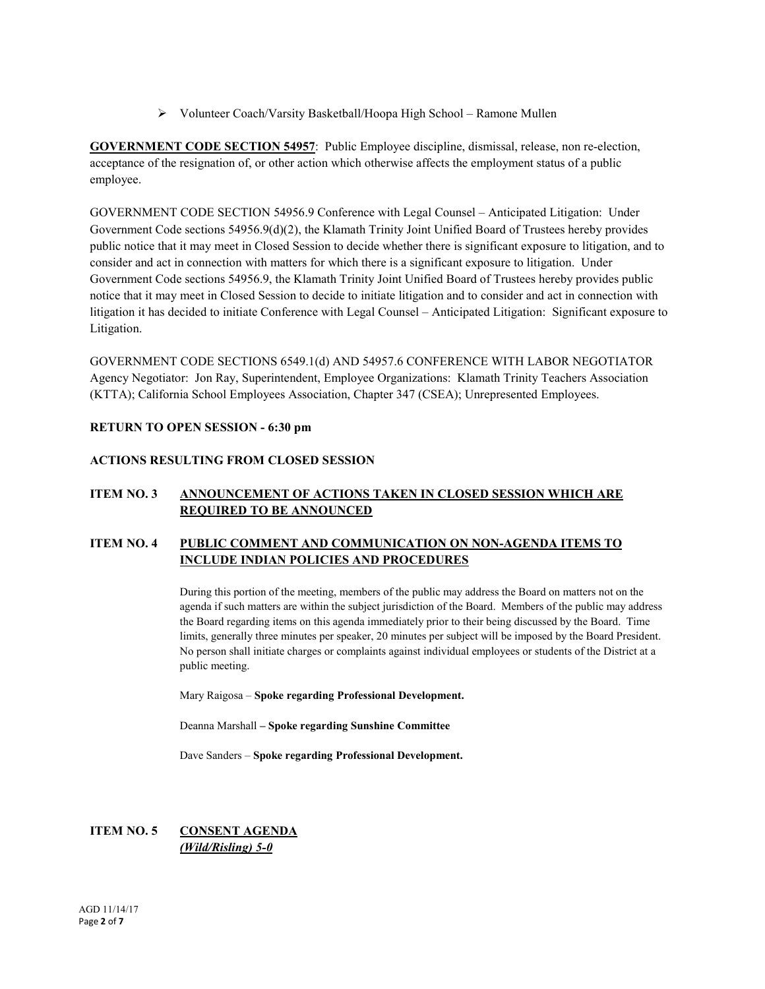Volunteer Coach/Varsity Basketball/Hoopa High School – Ramone Mullen

**GOVERNMENT CODE SECTION 54957**: Public Employee discipline, dismissal, release, non re-election, acceptance of the resignation of, or other action which otherwise affects the employment status of a public employee.

GOVERNMENT CODE SECTION 54956.9 Conference with Legal Counsel – Anticipated Litigation: Under Government Code sections 54956.9(d)(2), the Klamath Trinity Joint Unified Board of Trustees hereby provides public notice that it may meet in Closed Session to decide whether there is significant exposure to litigation, and to consider and act in connection with matters for which there is a significant exposure to litigation. Under Government Code sections 54956.9, the Klamath Trinity Joint Unified Board of Trustees hereby provides public notice that it may meet in Closed Session to decide to initiate litigation and to consider and act in connection with litigation it has decided to initiate Conference with Legal Counsel – Anticipated Litigation: Significant exposure to Litigation.

GOVERNMENT CODE SECTIONS 6549.1(d) AND 54957.6 CONFERENCE WITH LABOR NEGOTIATOR Agency Negotiator: Jon Ray, Superintendent, Employee Organizations: Klamath Trinity Teachers Association (KTTA); California School Employees Association, Chapter 347 (CSEA); Unrepresented Employees.

#### **RETURN TO OPEN SESSION - 6:30 pm**

# **ACTIONS RESULTING FROM CLOSED SESSION**

# **ITEM NO. 3 ANNOUNCEMENT OF ACTIONS TAKEN IN CLOSED SESSION WHICH ARE REQUIRED TO BE ANNOUNCED**

# **ITEM NO. 4 PUBLIC COMMENT AND COMMUNICATION ON NON-AGENDA ITEMS TO INCLUDE INDIAN POLICIES AND PROCEDURES**

During this portion of the meeting, members of the public may address the Board on matters not on the agenda if such matters are within the subject jurisdiction of the Board. Members of the public may address the Board regarding items on this agenda immediately prior to their being discussed by the Board. Time limits, generally three minutes per speaker, 20 minutes per subject will be imposed by the Board President. No person shall initiate charges or complaints against individual employees or students of the District at a public meeting.

Mary Raigosa – **Spoke regarding Professional Development.** 

Deanna Marshall **– Spoke regarding Sunshine Committee**

Dave Sanders – **Spoke regarding Professional Development.** 

# **ITEM NO. 5 CONSENT AGENDA** *(Wild/Risling) 5-0*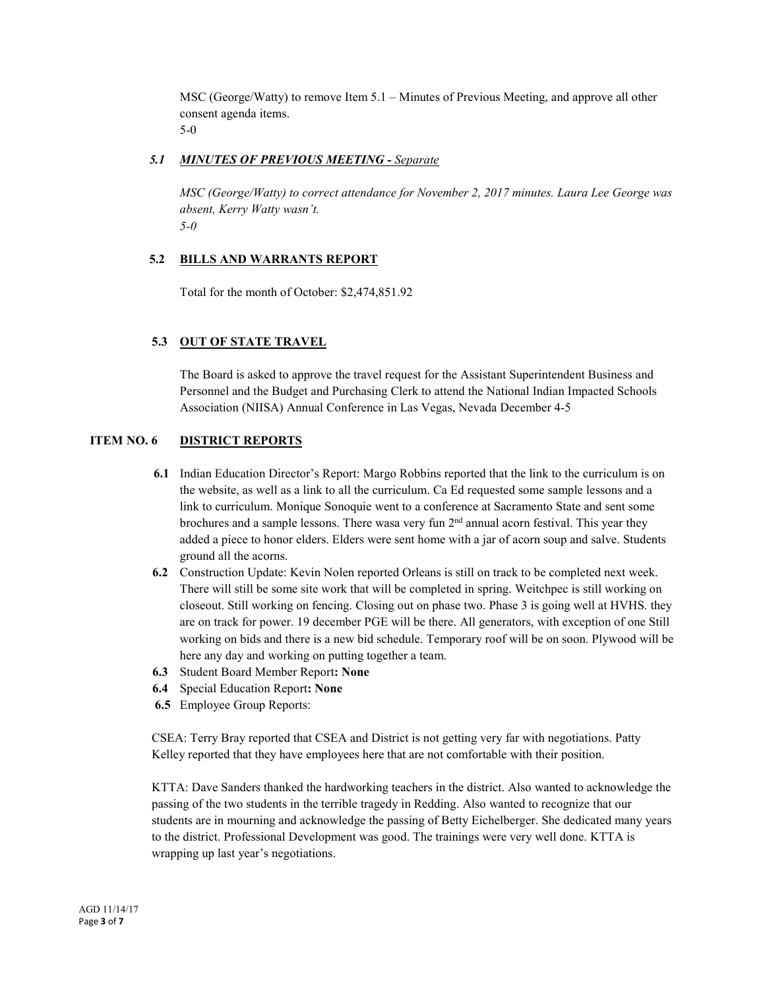MSC (George/Watty) to remove Item 5.1 – Minutes of Previous Meeting, and approve all other consent agenda items. 5-0

#### *5.1 MINUTES OF PREVIOUS MEETING - Separate*

*MSC (George/Watty) to correct attendance for November 2, 2017 minutes. Laura Lee George was absent, Kerry Watty wasn't. 5-0*

#### **5.2 BILLS AND WARRANTS REPORT**

Total for the month of October: \$2,474,851.92

# **5.3 OUT OF STATE TRAVEL**

The Board is asked to approve the travel request for the Assistant Superintendent Business and Personnel and the Budget and Purchasing Clerk to attend the National Indian Impacted Schools Association (NIISA) Annual Conference in Las Vegas, Nevada December 4-5

# **ITEM NO. 6 DISTRICT REPORTS**

- **6.1** Indian Education Director's Report: Margo Robbins reported that the link to the curriculum is on the website, as well as a link to all the curriculum. Ca Ed requested some sample lessons and a link to curriculum. Monique Sonoquie went to a conference at Sacramento State and sent some brochures and a sample lessons. There wasa very fun  $2<sup>nd</sup>$  annual acorn festival. This year they added a piece to honor elders. Elders were sent home with a jar of acorn soup and salve. Students ground all the acorns.
- **6.2** Construction Update: Kevin Nolen reported Orleans is still on track to be completed next week. There will still be some site work that will be completed in spring. Weitchpec is still working on closeout. Still working on fencing. Closing out on phase two. Phase 3 is going well at HVHS. they are on track for power. 19 december PGE will be there. All generators, with exception of one Still working on bids and there is a new bid schedule. Temporary roof will be on soon. Plywood will be here any day and working on putting together a team.
- **6.3** Student Board Member Report**: None**
- **6.4** Special Education Report**: None**
- **6.5** Employee Group Reports:

CSEA: Terry Bray reported that CSEA and District is not getting very far with negotiations. Patty Kelley reported that they have employees here that are not comfortable with their position.

KTTA: Dave Sanders thanked the hardworking teachers in the district. Also wanted to acknowledge the passing of the two students in the terrible tragedy in Redding. Also wanted to recognize that our students are in mourning and acknowledge the passing of Betty Eichelberger. She dedicated many years to the district. Professional Development was good. The trainings were very well done. KTTA is wrapping up last year's negotiations.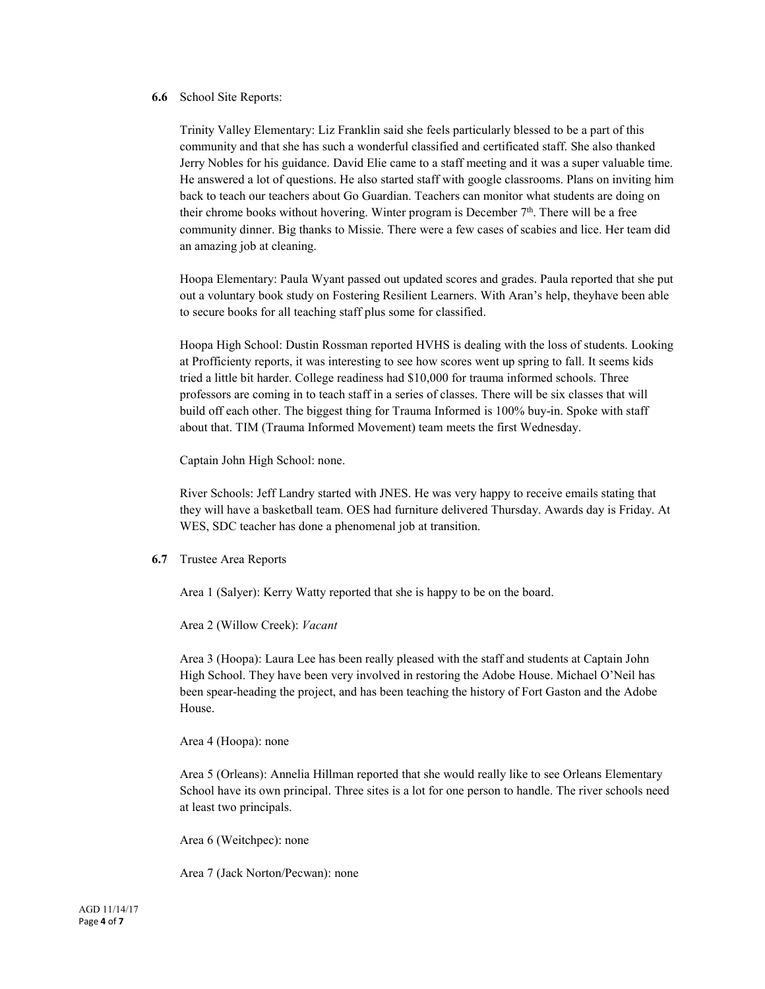#### **6.6** School Site Reports:

Trinity Valley Elementary: Liz Franklin said she feels particularly blessed to be a part of this community and that she has such a wonderful classified and certificated staff. She also thanked Jerry Nobles for his guidance. David Elie came to a staff meeting and it was a super valuable time. He answered a lot of questions. He also started staff with google classrooms. Plans on inviting him back to teach our teachers about Go Guardian. Teachers can monitor what students are doing on their chrome books without hovering. Winter program is December  $7<sup>th</sup>$ . There will be a free community dinner. Big thanks to Missie. There were a few cases of scabies and lice. Her team did an amazing job at cleaning.

Hoopa Elementary: Paula Wyant passed out updated scores and grades. Paula reported that she put out a voluntary book study on Fostering Resilient Learners. With Aran's help, theyhave been able to secure books for all teaching staff plus some for classified.

Hoopa High School: Dustin Rossman reported HVHS is dealing with the loss of students. Looking at Profficienty reports, it was interesting to see how scores went up spring to fall. It seems kids tried a little bit harder. College readiness had \$10,000 for trauma informed schools. Three professors are coming in to teach staff in a series of classes. There will be six classes that will build off each other. The biggest thing for Trauma Informed is 100% buy-in. Spoke with staff about that. TIM (Trauma Informed Movement) team meets the first Wednesday.

Captain John High School: none.

River Schools: Jeff Landry started with JNES. He was very happy to receive emails stating that they will have a basketball team. OES had furniture delivered Thursday. Awards day is Friday. At WES, SDC teacher has done a phenomenal job at transition.

**6.7** Trustee Area Reports

Area 1 (Salyer): Kerry Watty reported that she is happy to be on the board.

Area 2 (Willow Creek): *Vacant*

Area 3 (Hoopa): Laura Lee has been really pleased with the staff and students at Captain John High School. They have been very involved in restoring the Adobe House. Michael O'Neil has been spear-heading the project, and has been teaching the history of Fort Gaston and the Adobe House.

Area 4 (Hoopa): none

Area 5 (Orleans): Annelia Hillman reported that she would really like to see Orleans Elementary School have its own principal. Three sites is a lot for one person to handle. The river schools need at least two principals.

Area 6 (Weitchpec): none

Area 7 (Jack Norton/Pecwan): none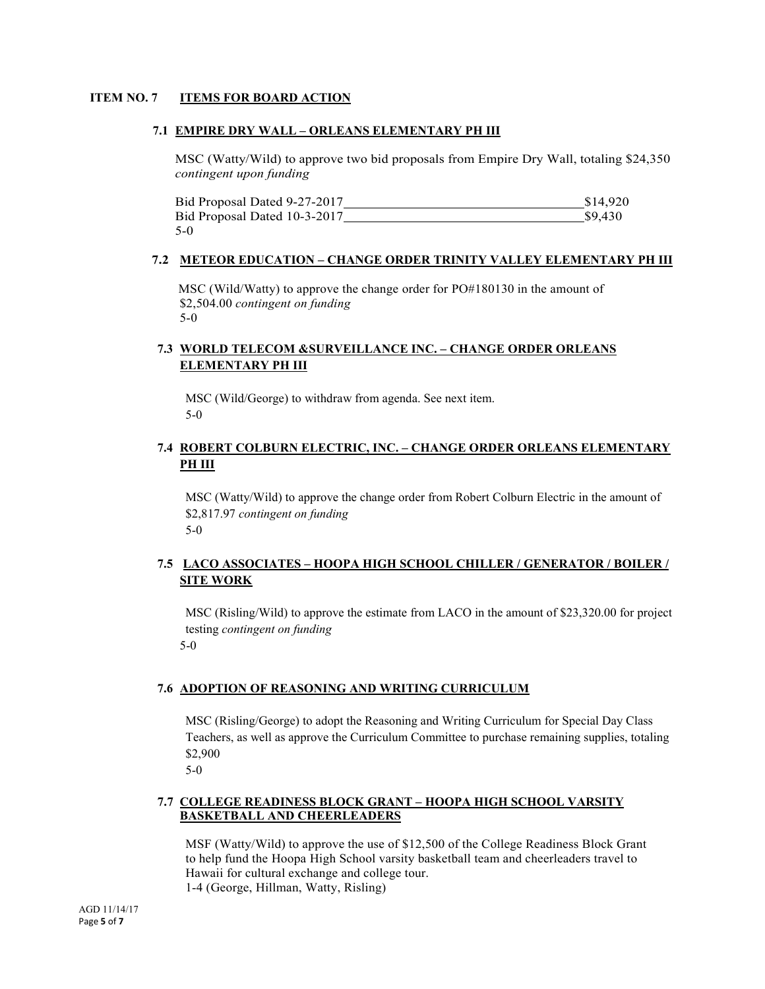#### **ITEM NO. 7 ITEMS FOR BOARD ACTION**

#### **7.1 EMPIRE DRY WALL – ORLEANS ELEMENTARY PH III**

MSC (Watty/Wild) to approve two bid proposals from Empire Dry Wall, totaling \$24,350 *contingent upon funding*

Bid Proposal Dated 9-27-2017 \$14,920 Bid Proposal Dated 10-3-2017 \$9,430 5-0

#### **7.2 METEOR EDUCATION – CHANGE ORDER TRINITY VALLEY ELEMENTARY PH III**

MSC (Wild/Watty) to approve the change order for PO#180130 in the amount of \$2,504.00 *contingent on funding* 5-0

#### **7.3 WORLD TELECOM &SURVEILLANCE INC. – CHANGE ORDER ORLEANS ELEMENTARY PH III**

MSC (Wild/George) to withdraw from agenda. See next item. 5-0

#### **7.4 ROBERT COLBURN ELECTRIC, INC. – CHANGE ORDER ORLEANS ELEMENTARY PH III**

MSC (Watty/Wild) to approve the change order from Robert Colburn Electric in the amount of \$2,817.97 *contingent on funding* 5-0

# **7.5 LACO ASSOCIATES – HOOPA HIGH SCHOOL CHILLER / GENERATOR / BOILER / SITE WORK**

MSC (Risling/Wild) to approve the estimate from LACO in the amount of \$23,320.00 for project testing *contingent on funding* 5-0

#### **7.6 ADOPTION OF REASONING AND WRITING CURRICULUM**

MSC (Risling/George) to adopt the Reasoning and Writing Curriculum for Special Day Class Teachers, as well as approve the Curriculum Committee to purchase remaining supplies, totaling \$2,900

5-0

#### **7.7 COLLEGE READINESS BLOCK GRANT – HOOPA HIGH SCHOOL VARSITY BASKETBALL AND CHEERLEADERS**

MSF (Watty/Wild) to approve the use of \$12,500 of the College Readiness Block Grant to help fund the Hoopa High School varsity basketball team and cheerleaders travel to Hawaii for cultural exchange and college tour. 1-4 (George, Hillman, Watty, Risling)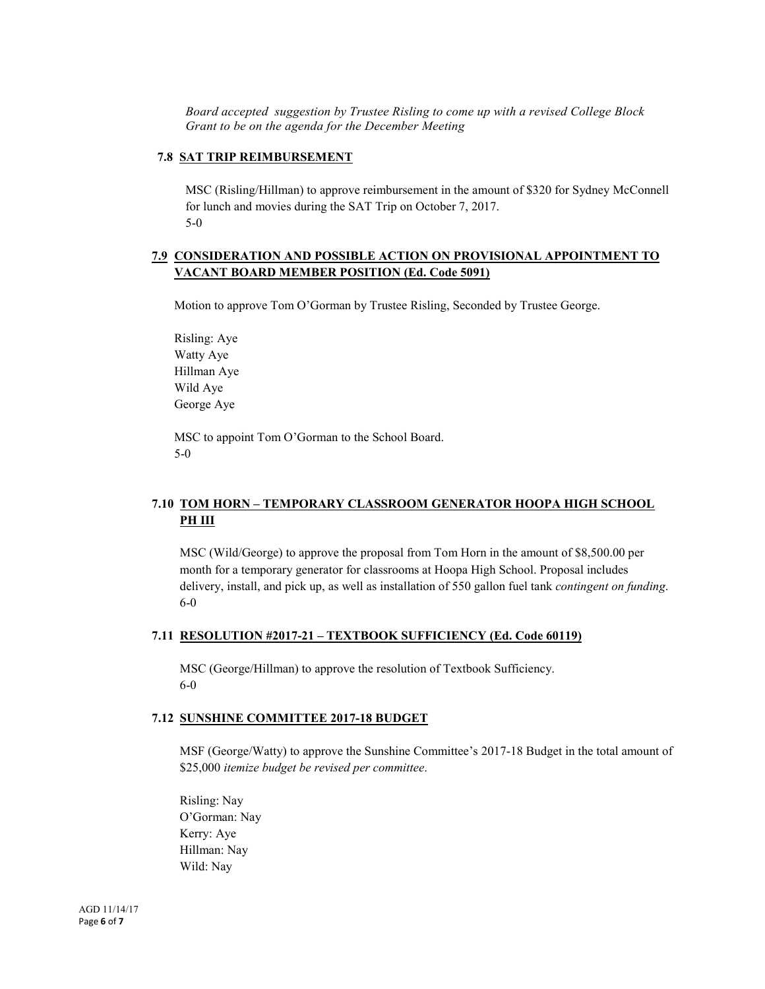*Board accepted suggestion by Trustee Risling to come up with a revised College Block Grant to be on the agenda for the December Meeting*

#### **7.8 SAT TRIP REIMBURSEMENT**

MSC (Risling/Hillman) to approve reimbursement in the amount of \$320 for Sydney McConnell for lunch and movies during the SAT Trip on October 7, 2017. 5-0

#### **7.9 CONSIDERATION AND POSSIBLE ACTION ON PROVISIONAL APPOINTMENT TO VACANT BOARD MEMBER POSITION (Ed. Code 5091)**

Motion to approve Tom O'Gorman by Trustee Risling, Seconded by Trustee George.

Risling: Aye Watty Aye Hillman Aye Wild Aye George Aye

MSC to appoint Tom O'Gorman to the School Board. 5-0

# **7.10 TOM HORN – TEMPORARY CLASSROOM GENERATOR HOOPA HIGH SCHOOL PH III**

MSC (Wild/George) to approve the proposal from Tom Horn in the amount of \$8,500.00 per month for a temporary generator for classrooms at Hoopa High School. Proposal includes delivery, install, and pick up, as well as installation of 550 gallon fuel tank *contingent on funding*. 6-0

#### **7.11 RESOLUTION #2017-21 – TEXTBOOK SUFFICIENCY (Ed. Code 60119)**

MSC (George/Hillman) to approve the resolution of Textbook Sufficiency. 6-0

#### **7.12 SUNSHINE COMMITTEE 2017-18 BUDGET**

MSF (George/Watty) to approve the Sunshine Committee's 2017-18 Budget in the total amount of \$25,000 *itemize budget be revised per committee*.

Risling: Nay O'Gorman: Nay Kerry: Aye Hillman: Nay Wild: Nay